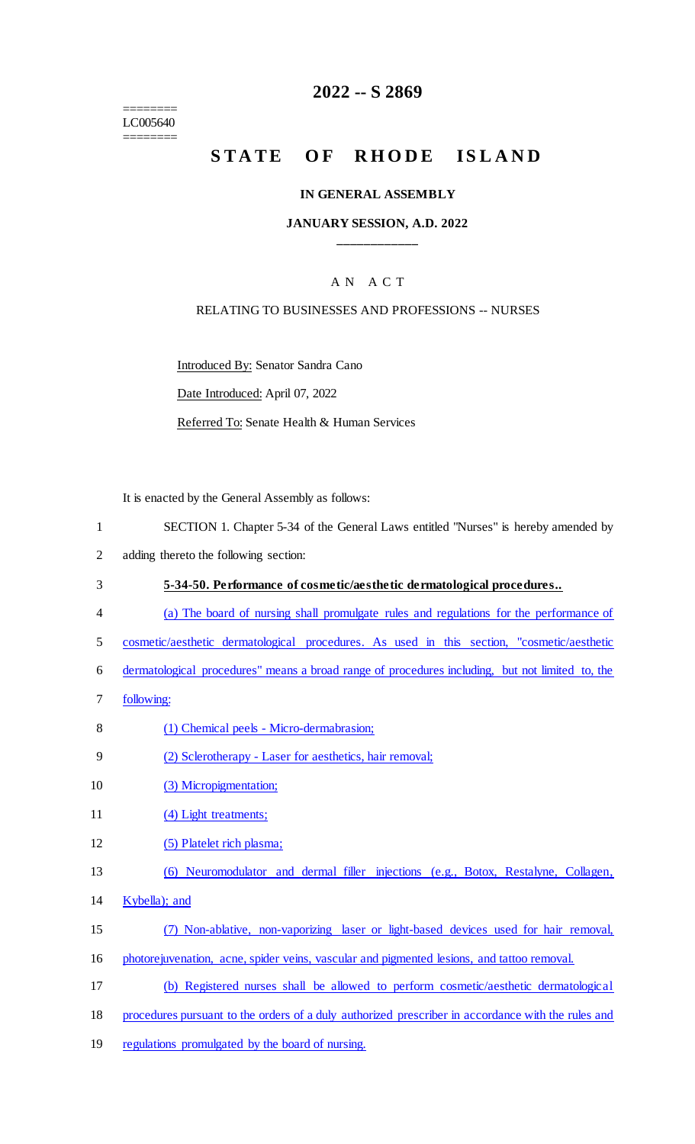======== LC005640 ========

### **2022 -- S 2869**

# STATE OF RHODE ISLAND

#### **IN GENERAL ASSEMBLY**

#### **JANUARY SESSION, A.D. 2022 \_\_\_\_\_\_\_\_\_\_\_\_**

### A N A C T

#### RELATING TO BUSINESSES AND PROFESSIONS -- NURSES

Introduced By: Senator Sandra Cano

Date Introduced: April 07, 2022

Referred To: Senate Health & Human Services

It is enacted by the General Assembly as follows:

- 1 SECTION 1. Chapter 5-34 of the General Laws entitled "Nurses" is hereby amended by
- 2 adding thereto the following section:
- 3 **5-34-50. Performance of cosmetic/aesthetic dermatological procedures..**
- 4 (a) The board of nursing shall promulgate rules and regulations for the performance of
- 5 cosmetic/aesthetic dermatological procedures. As used in this section, "cosmetic/aesthetic
- 6 dermatological procedures" means a broad range of procedures including, but not limited to, the
- 7 following:
- 8 (1) Chemical peels Micro-dermabrasion;
- 9 (2) Sclerotherapy Laser for aesthetics, hair removal;
- 10 (3) Micropigmentation;
- 11 (4) Light treatments;
- 12 (5) Platelet rich plasma;
- 13 (6) Neuromodulator and dermal filler injections (e.g., Botox, Restalyne, Collagen,
- 14 Kybella); and
- 15 (7) Non-ablative, non-vaporizing laser or light-based devices used for hair removal,
- 16 photorejuvenation, acne, spider veins, vascular and pigmented lesions, and tattoo removal.
- 17 (b) Registered nurses shall be allowed to perform cosmetic/aesthetic dermatological
- 18 procedures pursuant to the orders of a duly authorized prescriber in accordance with the rules and
- 19 regulations promulgated by the board of nursing.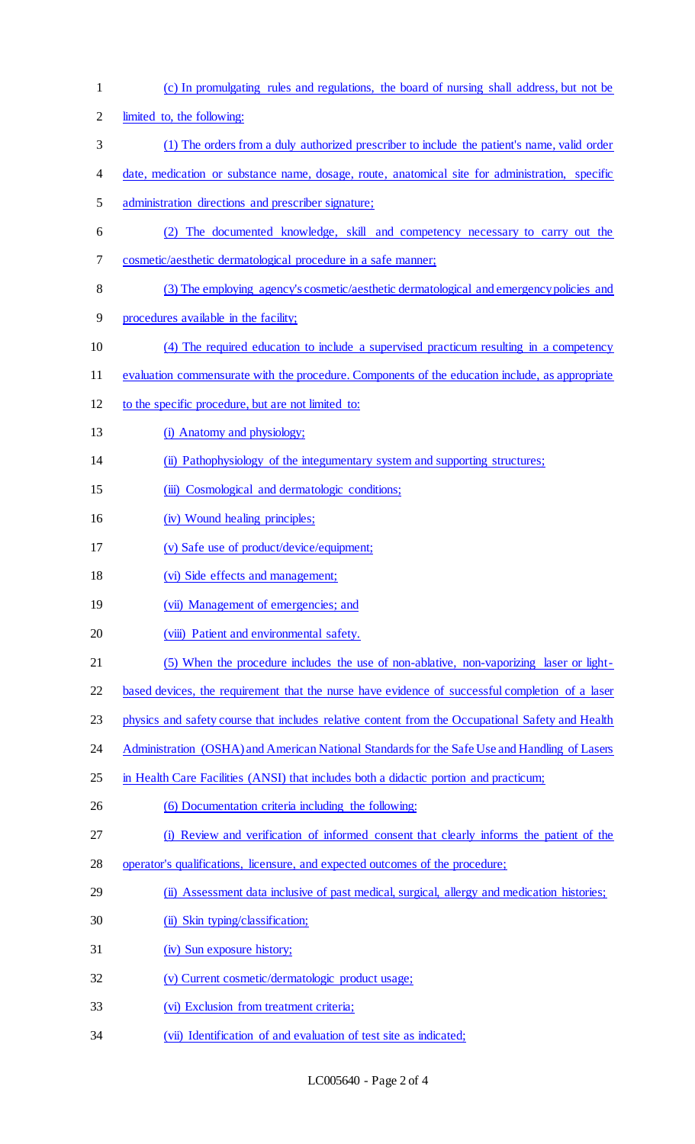limited to, the following: (1) The orders from a duly authorized prescriber to include the patient's name, valid order date, medication or substance name, dosage, route, anatomical site for administration, specific administration directions and prescriber signature; (2) The documented knowledge, skill and competency necessary to carry out the cosmetic/aesthetic dermatological procedure in a safe manner; (3) The employing agency's cosmetic/aesthetic dermatological and emergency policies and procedures available in the facility; (4) The required education to include a supervised practicum resulting in a competency evaluation commensurate with the procedure. Components of the education include, as appropriate to the specific procedure, but are not limited to: 13 (i) Anatomy and physiology; (ii) Pathophysiology of the integumentary system and supporting structures; 15 (iii) Cosmological and dermatologic conditions; (iv) Wound healing principles; (v) Safe use of product/device/equipment; (vi) Side effects and management; 19 (vii) Management of emergencies; and 20 (viii) Patient and environmental safety. (5) When the procedure includes the use of non-ablative, non-vaporizing laser or light-22 based devices, the requirement that the nurse have evidence of successful completion of a laser physics and safety course that includes relative content from the Occupational Safety and Health 24 Administration (OSHA) and American National Standards for the Safe Use and Handling of Lasers 25 in Health Care Facilities (ANSI) that includes both a didactic portion and practicum; (6) Documentation criteria including the following: (i) Review and verification of informed consent that clearly informs the patient of the operator's qualifications, licensure, and expected outcomes of the procedure; (ii) Assessment data inclusive of past medical, surgical, allergy and medication histories; 30 (ii) Skin typing/classification; (iv) Sun exposure history; (v) Current cosmetic/dermatologic product usage; (vi) Exclusion from treatment criteria; (vii) Identification of and evaluation of test site as indicated;

(c) In promulgating rules and regulations, the board of nursing shall address, but not be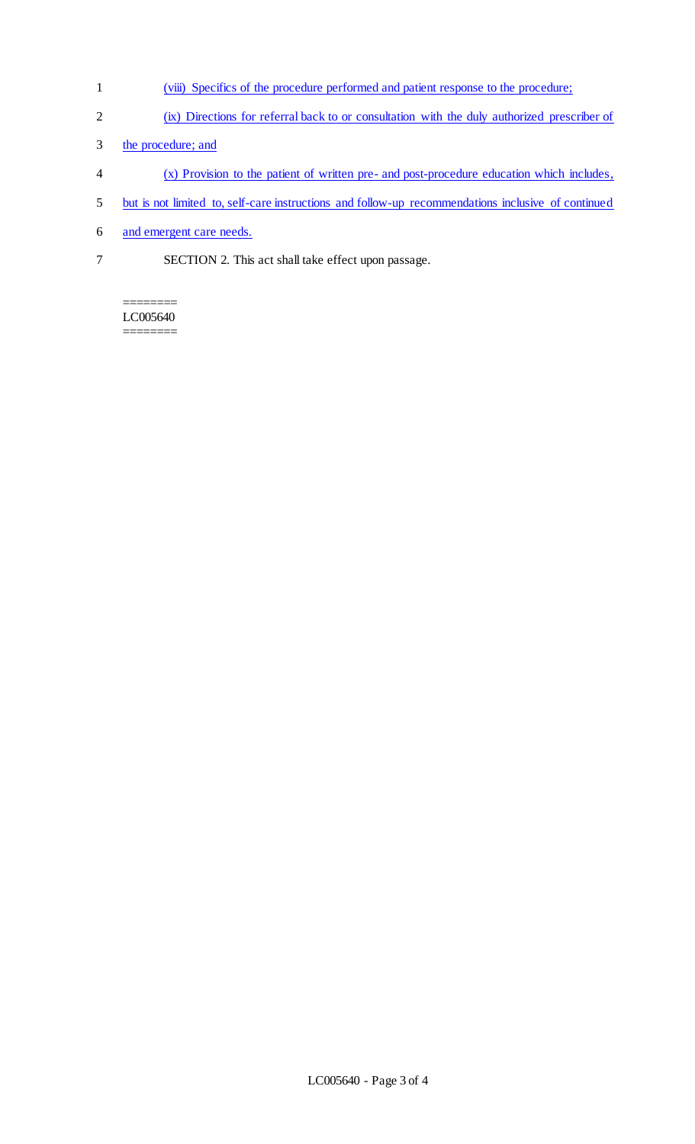- 1 (viii) Specifics of the procedure performed and patient response to the procedure;
- 2 (ix) Directions for referral back to or consultation with the duly authorized prescriber of
- 3 the procedure; and
- 4 (x) Provision to the patient of written pre- and post-procedure education which includes,
- 5 but is not limited to, self-care instructions and follow-up recommendations inclusive of continued
- 6 and emergent care needs.
- 7 SECTION 2. This act shall take effect upon passage.

#### ======== LC005640  $=$